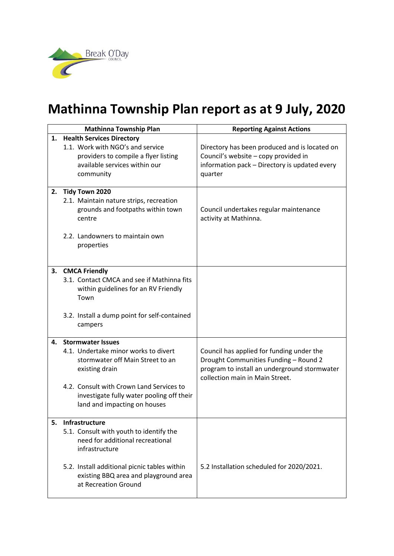

## **Mathinna Township Plan report as at 9 July, 2020**

|    | <b>Mathinna Township Plan</b>                | <b>Reporting Against Actions</b>              |
|----|----------------------------------------------|-----------------------------------------------|
| 1. | <b>Health Services Directory</b>             |                                               |
|    | 1.1. Work with NGO's and service             | Directory has been produced and is located on |
|    | providers to compile a flyer listing         | Council's website - copy provided in          |
|    | available services within our                | information pack - Directory is updated every |
|    | community                                    | quarter                                       |
| 2. | Tidy Town 2020                               |                                               |
|    | 2.1. Maintain nature strips, recreation      |                                               |
|    | grounds and footpaths within town            | Council undertakes regular maintenance        |
|    | centre                                       | activity at Mathinna.                         |
|    |                                              |                                               |
|    | 2.2. Landowners to maintain own              |                                               |
|    | properties                                   |                                               |
|    |                                              |                                               |
|    | 3. CMCA Friendly                             |                                               |
|    | 3.1. Contact CMCA and see if Mathinna fits   |                                               |
|    | within guidelines for an RV Friendly         |                                               |
|    | Town                                         |                                               |
|    |                                              |                                               |
|    | 3.2. Install a dump point for self-contained |                                               |
|    | campers                                      |                                               |
| 4. | <b>Stormwater Issues</b>                     |                                               |
|    | 4.1. Undertake minor works to divert         | Council has applied for funding under the     |
|    | stormwater off Main Street to an             | Drought Communities Funding - Round 2         |
|    | existing drain                               | program to install an underground stormwater  |
|    |                                              | collection main in Main Street.               |
|    | 4.2. Consult with Crown Land Services to     |                                               |
|    | investigate fully water pooling off their    |                                               |
|    | land and impacting on houses                 |                                               |
| 5. | Infrastructure                               |                                               |
|    | 5.1. Consult with youth to identify the      |                                               |
|    | need for additional recreational             |                                               |
|    | infrastructure                               |                                               |
|    |                                              |                                               |
|    | 5.2. Install additional picnic tables within | 5.2 Installation scheduled for 2020/2021.     |
|    | existing BBQ area and playground area        |                                               |
|    | at Recreation Ground                         |                                               |